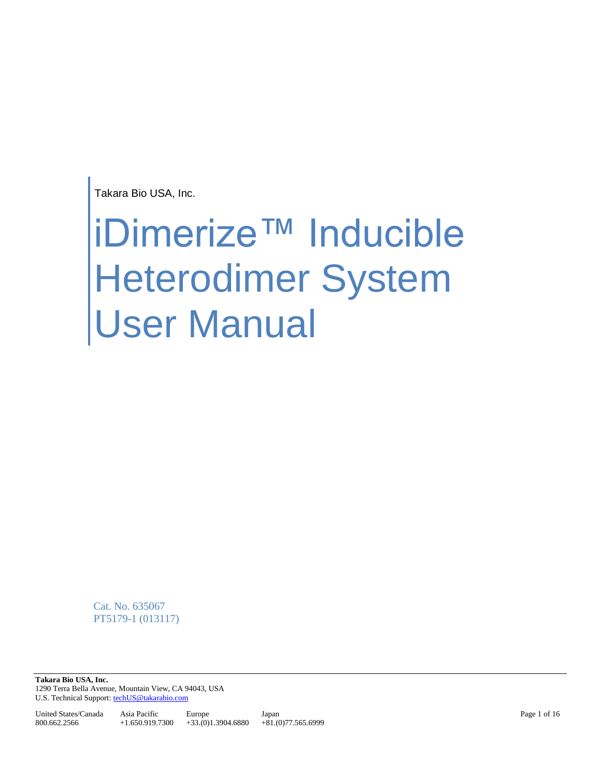Takara Bio USA, Inc.

# iDimerize™ Inducible Heterodimer System User Manual

Cat. No. 635067 PT5179-1 (013117)

**Takara Bio USA, Inc.**  1290 Terra Bella Avenue, Mountain View, CA 94043, USA U.S. Technical Support[: techUS@takarabio.com](mailto:techUS@takarabio.com)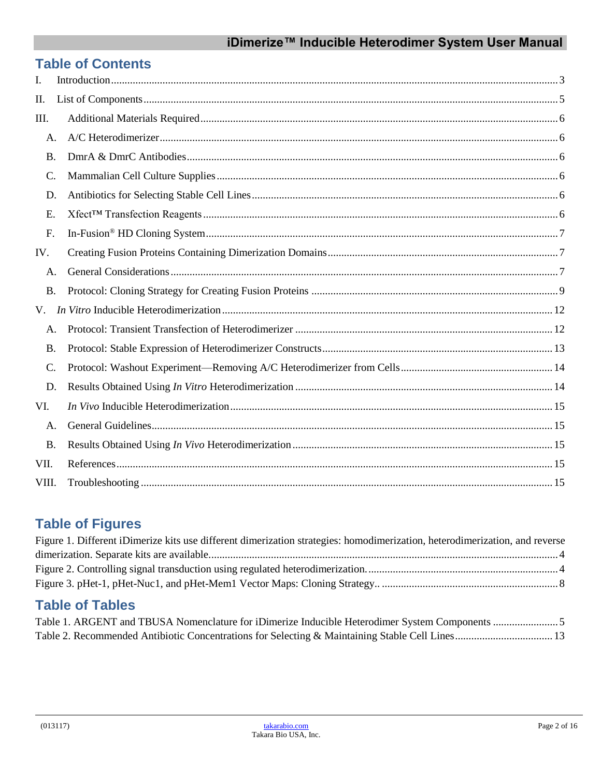## iDimerize™ Inducible Heterodimer System User Manual

# **Table of Contents**

| I.        |  |
|-----------|--|
| Π.        |  |
| III.      |  |
| A.        |  |
| <b>B.</b> |  |
| C.        |  |
| D.        |  |
| Ε.        |  |
| F.        |  |
| IV.       |  |
| A.        |  |
| <b>B.</b> |  |
| V.        |  |
| A.        |  |
| <b>B.</b> |  |
| $C$ .     |  |
| D.        |  |
| VI.       |  |
| A.        |  |
| <b>B.</b> |  |
| VII.      |  |
| VIII.     |  |

# **Table of Figures**

| Figure 1. Different iDimerize kits use different dimerization strategies: homodimerization, heterodimerization, and reverse |  |
|-----------------------------------------------------------------------------------------------------------------------------|--|
|                                                                                                                             |  |
|                                                                                                                             |  |
|                                                                                                                             |  |

# **Table of Tables**

| Table 1. ARGENT and TBUSA Nomenclature for iDimerize Inducible Heterodimer System Components 5  |  |
|-------------------------------------------------------------------------------------------------|--|
| Table 2. Recommended Antibiotic Concentrations for Selecting & Maintaining Stable Cell Lines 13 |  |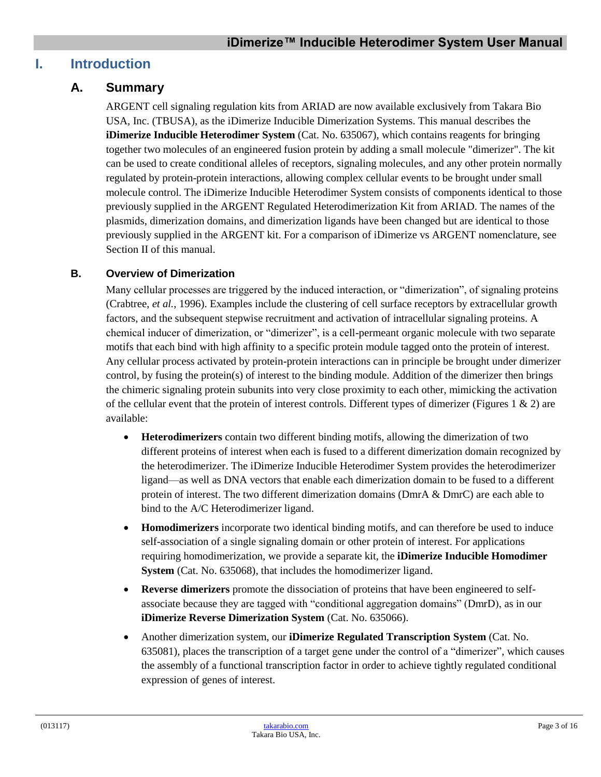## <span id="page-2-0"></span>**I. Introduction**

## **A. Summary**

ARGENT cell signaling regulation kits from ARIAD are now available exclusively from Takara Bio USA, Inc. (TBUSA), as the iDimerize Inducible Dimerization Systems. This manual describes the **iDimerize Inducible Heterodimer System** (Cat. No. 635067), which contains reagents for bringing together two molecules of an engineered fusion protein by adding a small molecule "dimerizer". The kit can be used to create conditional alleles of receptors, signaling molecules, and any other protein normally regulated by protein-protein interactions, allowing complex cellular events to be brought under small molecule control. The iDimerize Inducible Heterodimer System consists of components identical to those previously supplied in the ARGENT Regulated Heterodimerization Kit from ARIAD. The names of the plasmids, dimerization domains, and dimerization ligands have been changed but are identical to those previously supplied in the ARGENT kit. For a comparison of iDimerize vs ARGENT nomenclature, see Section II of this manual.

#### **B. Overview of Dimerization**

Many cellular processes are triggered by the induced interaction, or "dimerization", of signaling proteins (Crabtree, *et al.*, 1996). Examples include the clustering of cell surface receptors by extracellular growth factors, and the subsequent stepwise recruitment and activation of intracellular signaling proteins. A chemical inducer of dimerization, or "dimerizer", is a cell-permeant organic molecule with two separate motifs that each bind with high affinity to a specific protein module tagged onto the protein of interest. Any cellular process activated by protein-protein interactions can in principle be brought under dimerizer control, by fusing the protein(s) of interest to the binding module. Addition of the dimerizer then brings the chimeric signaling protein subunits into very close proximity to each other, mimicking the activation of the cellular event that the protein of interest controls. Different types of dimerizer (Figures  $1 \& 2$ ) are available:

- **Heterodimerizers** contain two different binding motifs, allowing the dimerization of two different proteins of interest when each is fused to a different dimerization domain recognized by the heterodimerizer. The iDimerize Inducible Heterodimer System provides the heterodimerizer ligand—as well as DNA vectors that enable each dimerization domain to be fused to a different protein of interest. The two different dimerization domains (DmrA & DmrC) are each able to bind to the A/C Heterodimerizer ligand.
- **Homodimerizers** incorporate two identical binding motifs, and can therefore be used to induce self-association of a single signaling domain or other protein of interest. For applications requiring homodimerization, we provide a separate kit, the **iDimerize Inducible Homodimer System** (Cat. No. 635068), that includes the homodimerizer ligand.
- **Reverse dimerizers** promote the dissociation of proteins that have been engineered to selfassociate because they are tagged with "conditional aggregation domains" (DmrD), as in our **iDimerize Reverse Dimerization System** (Cat. No. 635066).
- Another dimerization system, our **iDimerize Regulated Transcription System** (Cat. No. 635081), places the transcription of a target gene under the control of a "dimerizer", which causes the assembly of a functional transcription factor in order to achieve tightly regulated conditional expression of genes of interest.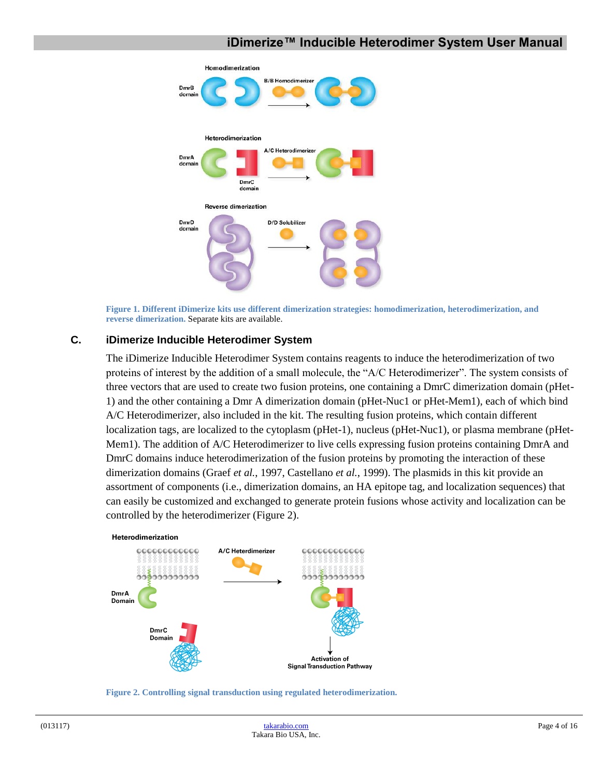#### **iDimerize™ Inducible Heterodimer System User Manual**



**Figure 1. Different iDimerize kits use different dimerization strategies: homodimerization, heterodimerization, and reverse dimerization.** Separate kits are available.

#### <span id="page-3-0"></span>**C. iDimerize Inducible Heterodimer System**

The iDimerize Inducible Heterodimer System contains reagents to induce the heterodimerization of two proteins of interest by the addition of a small molecule, the "A/C Heterodimerizer". The system consists of three vectors that are used to create two fusion proteins, one containing a DmrC dimerization domain (pHet-1) and the other containing a Dmr A dimerization domain (pHet-Nuc1 or pHet-Mem1), each of which bind A/C Heterodimerizer, also included in the kit. The resulting fusion proteins, which contain different localization tags, are localized to the cytoplasm (pHet-1), nucleus (pHet-Nuc1), or plasma membrane (pHet-Mem1). The addition of A/C Heterodimerizer to live cells expressing fusion proteins containing DmrA and DmrC domains induce heterodimerization of the fusion proteins by promoting the interaction of these dimerization domains (Graef *et al.*, 1997, Castellano *et al.*, 1999). The plasmids in this kit provide an assortment of components (i.e., dimerization domains, an HA epitope tag, and localization sequences) that can easily be customized and exchanged to generate protein fusions whose activity and localization can be controlled by the heterodimerizer (Figure 2).



<span id="page-3-1"></span>**Figure 2. Controlling signal transduction using regulated heterodimerization.**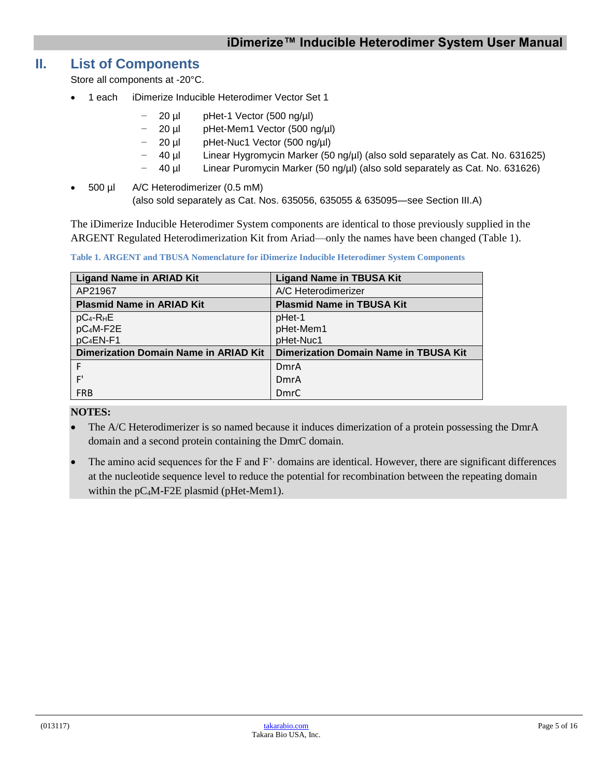## <span id="page-4-0"></span>**II. List of Components**

Store all components at -20°C.

- 1 each iDimerize Inducible Heterodimer Vector Set 1
	- − 20 µl pHet-1 Vector (500 ng/µl)
	- − 20 µl pHet-Mem1 Vector (500 ng/µl)
	- − 20 µl pHet-Nuc1 Vector (500 ng/µl)
		- − 40 µl Linear Hygromycin Marker (50 ng/µl) (also sold separately as Cat. No. 631625)
	- − 40 µl Linear Puromycin Marker (50 ng/µl) (also sold separately as Cat. No. 631626)
- 500 µl A/C Heterodimerizer (0.5 mM) (also sold separately as Cat. Nos. 635056, 635055 & 635095—see Section III.A)

The iDimerize Inducible Heterodimer System components are identical to those previously supplied in the ARGENT Regulated Heterodimerization Kit from Ariad—only the names have been changed (Table 1).

| <b>Ligand Name in ARIAD Kit</b>              | <b>Ligand Name in TBUSA Kit</b>              |
|----------------------------------------------|----------------------------------------------|
| AP21967                                      | A/C Heterodimerizer                          |
| <b>Plasmid Name in ARIAD Kit</b>             | <b>Plasmid Name in TBUSA Kit</b>             |
| $pC_4$ -R <sub>H</sub> E                     | pHet-1                                       |
| pC <sub>4</sub> M-F <sub>2E</sub>            | pHet-Mem1                                    |
| pC <sub>4</sub> EN-F1                        | pHet-Nuc1                                    |
| <b>Dimerization Domain Name in ARIAD Kit</b> | <b>Dimerization Domain Name in TBUSA Kit</b> |
|                                              | DmrA                                         |
| F'                                           | DmrA                                         |
| <b>FRB</b>                                   | DmrC                                         |

<span id="page-4-1"></span>**Table 1. ARGENT and TBUSA Nomenclature for iDimerize Inducible Heterodimer System Components**

#### **NOTES:**

- The A/C Heterodimerizer is so named because it induces dimerization of a protein possessing the DmrA domain and a second protein containing the DmrC domain.
- The amino acid sequences for the F and F'' domains are identical. However, there are significant differences at the nucleotide sequence level to reduce the potential for recombination between the repeating domain within the pC4M-F2E plasmid (pHet-Mem1).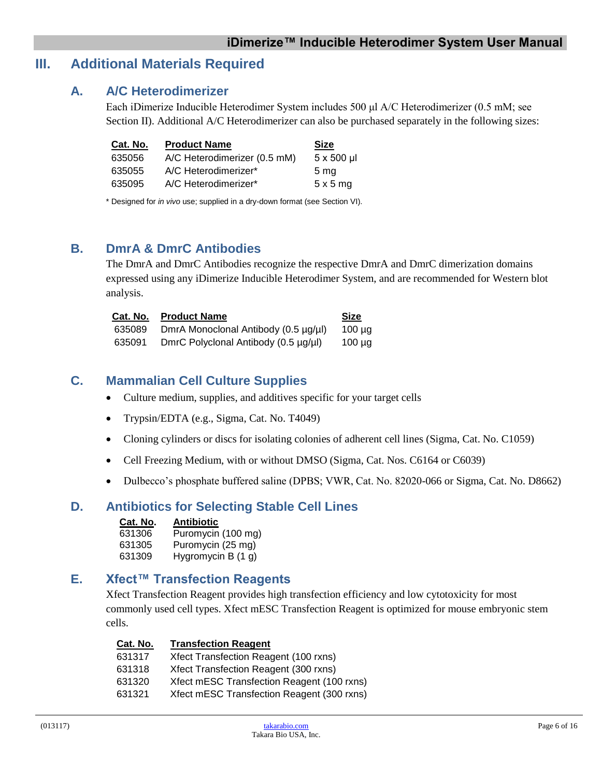## <span id="page-5-1"></span><span id="page-5-0"></span>**III. Additional Materials Required**

#### **A. A/C Heterodimerizer**

Each iDimerize Inducible Heterodimer System includes 500 μl A/C Heterodimerizer (0.5 mM; see Section II). Additional A/C Heterodimerizer can also be purchased separately in the following sizes:

| Cat. No. | <b>Product Name</b>          | <b>Size</b>       |
|----------|------------------------------|-------------------|
| 635056   | A/C Heterodimerizer (0.5 mM) | $5 \times 500$ µl |
| 635055   | A/C Heterodimerizer*         | 5 <sub>ma</sub>   |
| 635095   | A/C Heterodimerizer*         | $5 \times 5$ mg   |

\* Designed for *in vivo* use; supplied in a dry-down format (see Section VI).

## <span id="page-5-2"></span>**B. DmrA & DmrC Antibodies**

The DmrA and DmrC Antibodies recognize the respective DmrA and DmrC dimerization domains expressed using any iDimerize Inducible Heterodimer System, and are recommended for Western blot analysis.

| Cat. No. | <b>Product Name</b>                  | <b>Size</b> |
|----------|--------------------------------------|-------------|
| 635089   | DmrA Monoclonal Antibody (0.5 µg/µl) | $100 \mu$ g |
| 635091   | DmrC Polyclonal Antibody (0.5 µg/µl) | $100 \mu q$ |

## <span id="page-5-3"></span>**C. Mammalian Cell Culture Supplies**

- Culture medium, supplies, and additives specific for your target cells
- Trypsin/EDTA (e.g., Sigma, Cat. No. T4049)
- Cloning cylinders or discs for isolating colonies of adherent cell lines (Sigma, Cat. No. C1059)
- Cell Freezing Medium, with or without DMSO (Sigma, Cat. Nos. C6164 or C6039)
- Dulbecco's phosphate buffered saline (DPBS; VWR, Cat. No. 82020-066 or Sigma, Cat. No. D8662)

## <span id="page-5-4"></span>**D. Antibiotics for Selecting Stable Cell Lines**

**Cat. No. Antibiotic**

| 631306 | Puromycin (100 mg)   |
|--------|----------------------|
| 631305 | Puromycin (25 mg)    |
| 631309 | Hygromycin B $(1 g)$ |

#### <span id="page-5-5"></span>**E. Xfect™ Transfection Reagents**

Xfect Transfection Reagent provides high transfection efficiency and low cytotoxicity for most commonly used cell types. Xfect mESC Transfection Reagent is optimized for mouse embryonic stem cells.

| Cat. No. | <b>Transfection Reagent</b> |  |
|----------|-----------------------------|--|
|          |                             |  |

| 631317 | Xfect Transfection Reagent (100 rxns)      |
|--------|--------------------------------------------|
| 631318 | Xfect Transfection Reagent (300 rxns)      |
| 631320 | Xfect mESC Transfection Reagent (100 rxns) |
| 631321 | Xfect mESC Transfection Reagent (300 rxns) |
|        |                                            |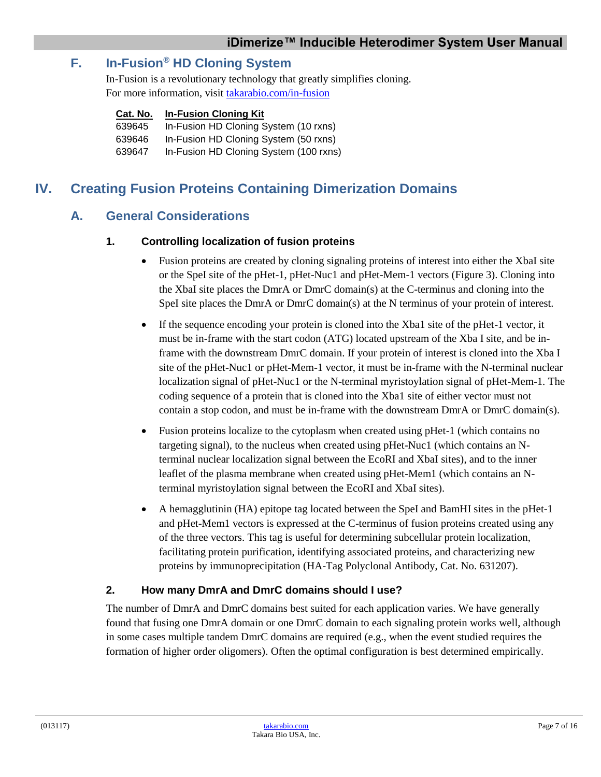## <span id="page-6-0"></span>**F. In-Fusion® HD Cloning System**

In-Fusion is a revolutionary technology that greatly simplifies cloning. For more information, visit [takarabio.com/in-fusion](http://www.takarabio.com/in-fusion)

#### **Cat. No. In-Fusion Cloning Kit**

639645 In-Fusion HD Cloning System (10 rxns) 639646 In-Fusion HD Cloning System (50 rxns)

639647 In-Fusion HD Cloning System (100 rxns)

## <span id="page-6-2"></span><span id="page-6-1"></span>**IV. Creating Fusion Proteins Containing Dimerization Domains**

## **A. General Considerations**

#### **1. Controlling localization of fusion proteins**

- Fusion proteins are created by cloning signaling proteins of interest into either the XbaI site or the SpeI site of the pHet-1, pHet-Nuc1 and pHet-Mem-1 vectors (Figure 3). Cloning into the XbaI site places the DmrA or DmrC domain(s) at the C-terminus and cloning into the SpeI site places the DmrA or DmrC domain(s) at the N terminus of your protein of interest.
- If the sequence encoding your protein is cloned into the Xba1 site of the pHet-1 vector, it must be in-frame with the start codon (ATG) located upstream of the Xba I site, and be inframe with the downstream DmrC domain. If your protein of interest is cloned into the Xba I site of the pHet-Nuc1 or pHet-Mem-1 vector, it must be in-frame with the N-terminal nuclear localization signal of pHet-Nuc1 or the N-terminal myristoylation signal of pHet-Mem-1. The coding sequence of a protein that is cloned into the Xba1 site of either vector must not contain a stop codon, and must be in-frame with the downstream DmrA or DmrC domain(s).
- Fusion proteins localize to the cytoplasm when created using pHet-1 (which contains no targeting signal), to the nucleus when created using pHet-Nuc1 (which contains an Nterminal nuclear localization signal between the EcoRI and XbaI sites), and to the inner leaflet of the plasma membrane when created using pHet-Mem1 (which contains an Nterminal myristoylation signal between the EcoRI and XbaI sites).
- A hemagglutinin (HA) epitope tag located between the SpeI and BamHI sites in the pHet-1 and pHet-Mem1 vectors is expressed at the C-terminus of fusion proteins created using any of the three vectors. This tag is useful for determining subcellular protein localization, facilitating protein purification, identifying associated proteins, and characterizing new proteins by immunoprecipitation (HA-Tag Polyclonal Antibody, Cat. No. 631207).

#### **2. How many DmrA and DmrC domains should I use?**

The number of DmrA and DmrC domains best suited for each application varies. We have generally found that fusing one DmrA domain or one DmrC domain to each signaling protein works well, although in some cases multiple tandem DmrC domains are required (e.g., when the event studied requires the formation of higher order oligomers). Often the optimal configuration is best determined empirically.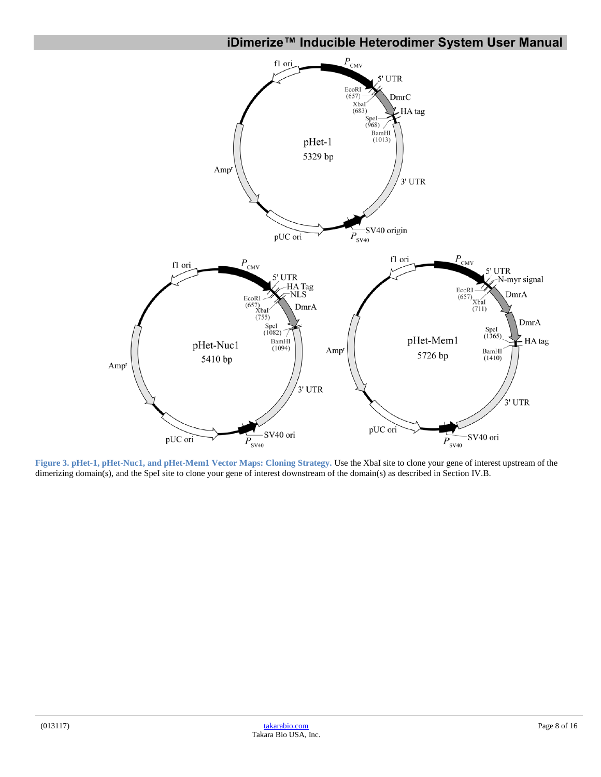#### **iDimerize™ Inducible Heterodimer System User Manual**



<span id="page-7-0"></span>**Figure 3. pHet-1, pHet-Nuc1, and pHet-Mem1 Vector Maps: Cloning Strategy.** Use the XbaI site to clone your gene of interest upstream of the dimerizing domain(s), and the SpeI site to clone your gene of interest downstream of the domain(s) as described in Section IV.B.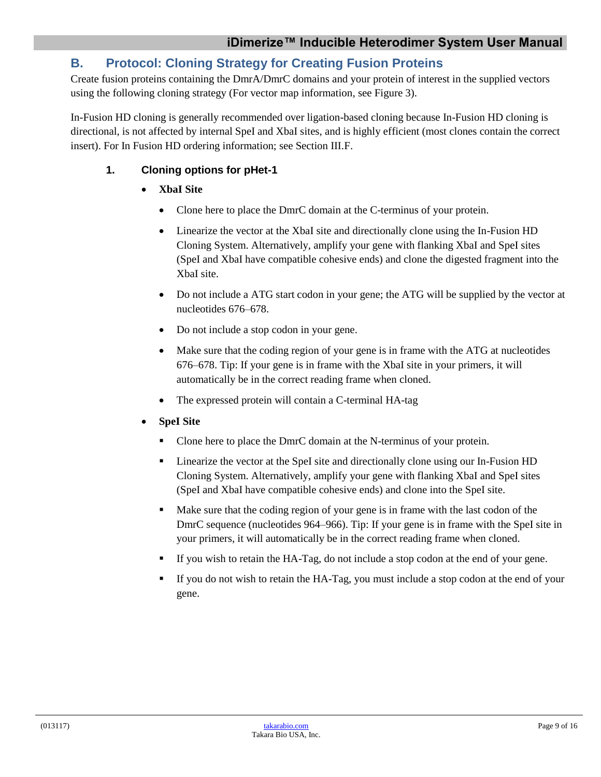## <span id="page-8-0"></span>**B. Protocol: Cloning Strategy for Creating Fusion Proteins**

Create fusion proteins containing the DmrA/DmrC domains and your protein of interest in the supplied vectors using the following cloning strategy (For vector map information, see Figure 3).

In-Fusion HD cloning is generally recommended over ligation-based cloning because In-Fusion HD cloning is directional, is not affected by internal SpeI and XbaI sites, and is highly efficient (most clones contain the correct insert). For In Fusion HD ordering information; see Section III.F.

#### **1. Cloning options for pHet-1**

- **XbaI Site**
	- Clone here to place the DmrC domain at the C-terminus of your protein.
	- Linearize the vector at the XbaI site and directionally clone using the In-Fusion HD Cloning System. Alternatively, amplify your gene with flanking XbaI and SpeI sites (SpeI and XbaI have compatible cohesive ends) and clone the digested fragment into the XbaI site.
	- Do not include a ATG start codon in your gene; the ATG will be supplied by the vector at nucleotides 676–678.
	- Do not include a stop codon in your gene.
	- Make sure that the coding region of your gene is in frame with the ATG at nucleotides 676–678. Tip: If your gene is in frame with the XbaI site in your primers, it will automatically be in the correct reading frame when cloned.
	- The expressed protein will contain a C-terminal HA-tag
- **SpeI Site**
	- Clone here to place the DmrC domain at the N-terminus of your protein.
	- Linearize the vector at the SpeI site and directionally clone using our In-Fusion HD Cloning System. Alternatively, amplify your gene with flanking XbaI and SpeI sites (SpeI and XbaI have compatible cohesive ends) and clone into the SpeI site.
	- Make sure that the coding region of your gene is in frame with the last codon of the DmrC sequence (nucleotides 964–966). Tip: If your gene is in frame with the SpeI site in your primers, it will automatically be in the correct reading frame when cloned.
	- If you wish to retain the HA-Tag, do not include a stop codon at the end of your gene.
	- If you do not wish to retain the HA-Tag, you must include a stop codon at the end of your gene.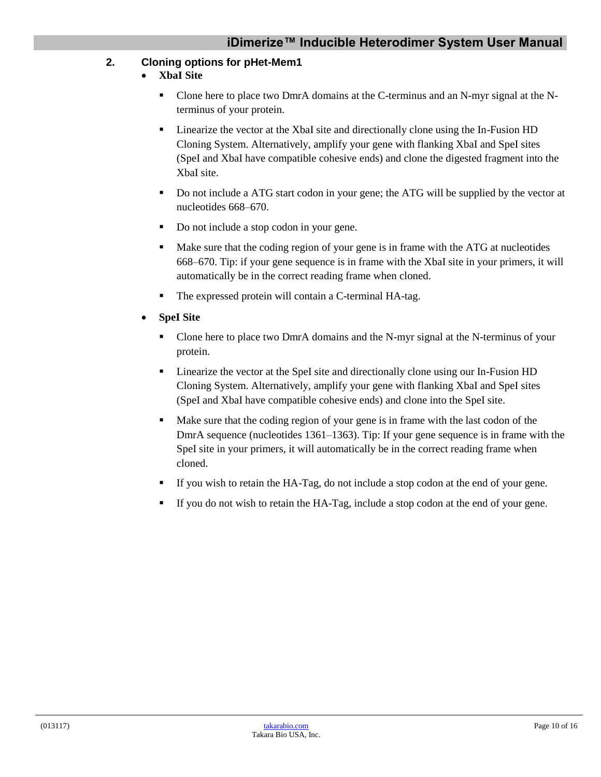#### **2. Cloning options for pHet-Mem1**

- **XbaI Site**
	- Clone here to place two DmrA domains at the C-terminus and an N-myr signal at the Nterminus of your protein.
	- Linearize the vector at the XbaI site and directionally clone using the In-Fusion HD Cloning System. Alternatively, amplify your gene with flanking XbaI and SpeI sites (SpeI and XbaI have compatible cohesive ends) and clone the digested fragment into the XbaI site.
	- Do not include a ATG start codon in your gene; the ATG will be supplied by the vector at nucleotides 668–670.
	- Do not include a stop codon in your gene.
	- Make sure that the coding region of your gene is in frame with the ATG at nucleotides 668–670. Tip: if your gene sequence is in frame with the XbaI site in your primers, it will automatically be in the correct reading frame when cloned.
	- The expressed protein will contain a C-terminal HA-tag.
- **SpeI Site** 
	- Clone here to place two DmrA domains and the N-myr signal at the N-terminus of your protein.
	- **Exercise** the vector at the SpeI site and directionally clone using our In-Fusion HD Cloning System. Alternatively, amplify your gene with flanking XbaI and SpeI sites (SpeI and XbaI have compatible cohesive ends) and clone into the SpeI site.
	- Make sure that the coding region of your gene is in frame with the last codon of the DmrA sequence (nucleotides 1361–1363). Tip: If your gene sequence is in frame with the SpeI site in your primers, it will automatically be in the correct reading frame when cloned.
	- If you wish to retain the HA-Tag, do not include a stop codon at the end of your gene.
	- If you do not wish to retain the HA-Tag, include a stop codon at the end of your gene.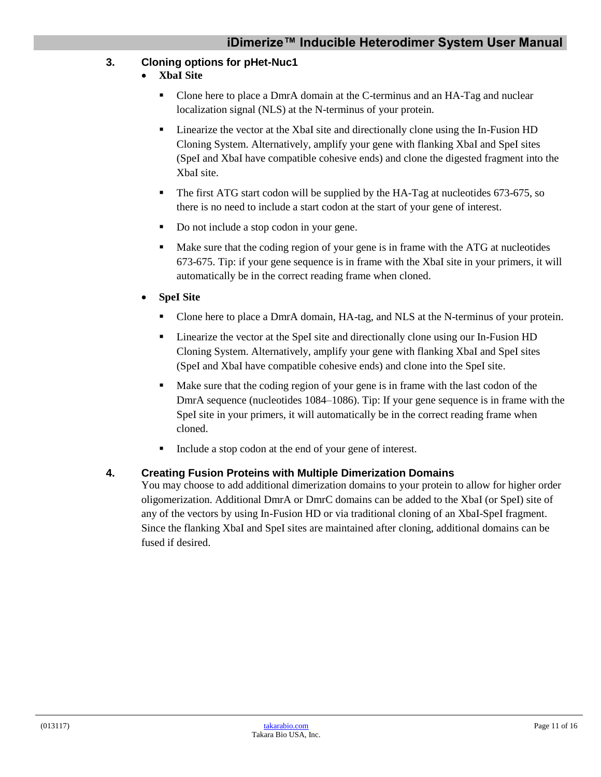#### **3. Cloning options for pHet-Nuc1**

- **XbaI Site**
	- Clone here to place a DmrA domain at the C-terminus and an HA-Tag and nuclear localization signal (NLS) at the N-terminus of your protein.
	- Linearize the vector at the XbaI site and directionally clone using the In-Fusion HD Cloning System. Alternatively, amplify your gene with flanking XbaI and SpeI sites (SpeI and XbaI have compatible cohesive ends) and clone the digested fragment into the XbaI site.
	- The first ATG start codon will be supplied by the HA-Tag at nucleotides 673-675, so there is no need to include a start codon at the start of your gene of interest.
	- Do not include a stop codon in your gene.
	- Make sure that the coding region of your gene is in frame with the ATG at nucleotides 673-675. Tip: if your gene sequence is in frame with the XbaI site in your primers, it will automatically be in the correct reading frame when cloned.
- **SpeI Site** 
	- **Clone here to place a DmrA domain, HA-tag, and NLS at the N-terminus of your protein.**
	- Linearize the vector at the SpeI site and directionally clone using our In-Fusion HD Cloning System. Alternatively, amplify your gene with flanking XbaI and SpeI sites (SpeI and XbaI have compatible cohesive ends) and clone into the SpeI site.
	- Make sure that the coding region of your gene is in frame with the last codon of the DmrA sequence (nucleotides 1084–1086). Tip: If your gene sequence is in frame with the SpeI site in your primers, it will automatically be in the correct reading frame when cloned.
	- Include a stop codon at the end of your gene of interest.

#### **4. Creating Fusion Proteins with Multiple Dimerization Domains**

You may choose to add additional dimerization domains to your protein to allow for higher order oligomerization. Additional DmrA or DmrC domains can be added to the XbaI (or SpeI) site of any of the vectors by using In-Fusion HD or via traditional cloning of an XbaI-SpeI fragment. Since the flanking XbaI and SpeI sites are maintained after cloning, additional domains can be fused if desired.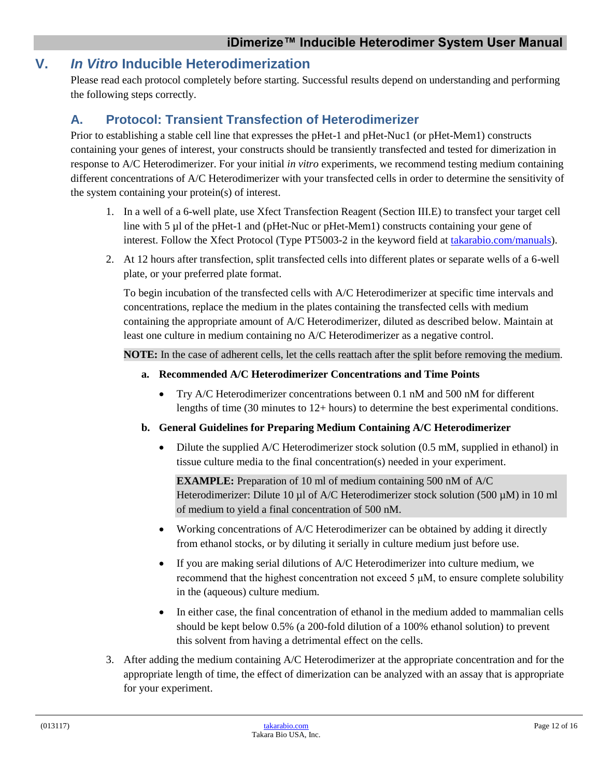## <span id="page-11-0"></span>**V.** *In Vitro* **Inducible Heterodimerization**

Please read each protocol completely before starting. Successful results depend on understanding and performing the following steps correctly.

## <span id="page-11-1"></span>**A. Protocol: Transient Transfection of Heterodimerizer**

Prior to establishing a stable cell line that expresses the pHet-1 and pHet-Nuc1 (or pHet-Mem1) constructs containing your genes of interest, your constructs should be transiently transfected and tested for dimerization in response to A/C Heterodimerizer. For your initial *in vitro* experiments, we recommend testing medium containing different concentrations of A/C Heterodimerizer with your transfected cells in order to determine the sensitivity of the system containing your protein(s) of interest.

- 1. In a well of a 6-well plate, use Xfect Transfection Reagent (Section III.E) to transfect your target cell line with 5 µl of the pHet-1 and (pHet-Nuc or pHet-Mem1) constructs containing your gene of interest. Follow the Xfect Protocol (Type PT5003-2 in the keyword field at [takarabio.com/manuals\)](http://www.takarabio.com/manuals).
- 2. At 12 hours after transfection, split transfected cells into different plates or separate wells of a 6-well plate, or your preferred plate format.

To begin incubation of the transfected cells with A/C Heterodimerizer at specific time intervals and concentrations, replace the medium in the plates containing the transfected cells with medium containing the appropriate amount of A/C Heterodimerizer, diluted as described below. Maintain at least one culture in medium containing no A/C Heterodimerizer as a negative control.

**NOTE:** In the case of adherent cells, let the cells reattach after the split before removing the medium.

- **a. Recommended A/C Heterodimerizer Concentrations and Time Points**
	- Try A/C Heterodimerizer concentrations between 0.1 nM and 500 nM for different lengths of time (30 minutes to 12+ hours) to determine the best experimental conditions.
- **b. General Guidelines for Preparing Medium Containing A/C Heterodimerizer**
	- Dilute the supplied A/C Heterodimerizer stock solution (0.5 mM, supplied in ethanol) in tissue culture media to the final concentration(s) needed in your experiment.

**EXAMPLE:** Preparation of 10 ml of medium containing 500 nM of A/C Heterodimerizer: Dilute 10  $\mu$ l of A/C Heterodimerizer stock solution (500  $\mu$ M) in 10 ml of medium to yield a final concentration of 500 nM.

- Working concentrations of A/C Heterodimerizer can be obtained by adding it directly from ethanol stocks, or by diluting it serially in culture medium just before use.
- If you are making serial dilutions of A/C Heterodimerizer into culture medium, we recommend that the highest concentration not exceed 5 μM, to ensure complete solubility in the (aqueous) culture medium.
- In either case, the final concentration of ethanol in the medium added to mammalian cells should be kept below 0.5% (a 200-fold dilution of a 100% ethanol solution) to prevent this solvent from having a detrimental effect on the cells.
- 3. After adding the medium containing A/C Heterodimerizer at the appropriate concentration and for the appropriate length of time, the effect of dimerization can be analyzed with an assay that is appropriate for your experiment.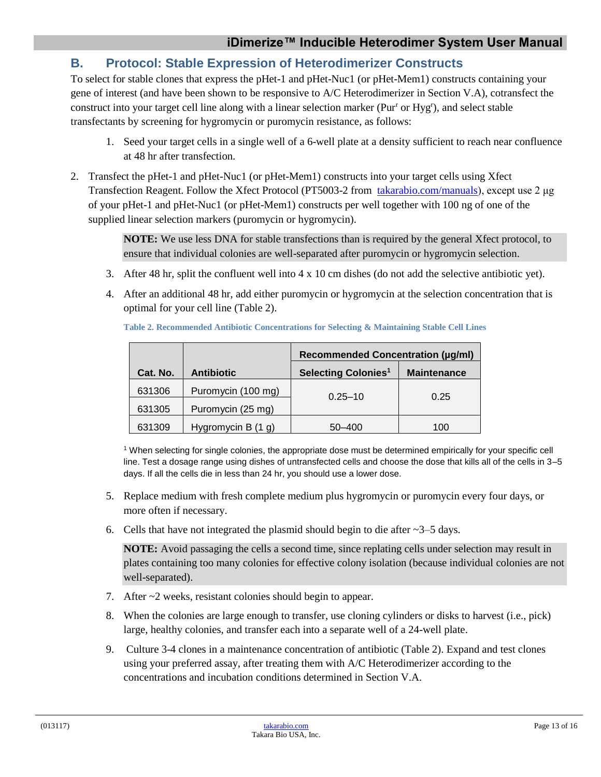## <span id="page-12-0"></span>**B. Protocol: Stable Expression of Heterodimerizer Constructs**

To select for stable clones that express the pHet-1 and pHet-Nuc1 (or pHet-Mem1) constructs containing your gene of interest (and have been shown to be responsive to A/C Heterodimerizer in Section V.A), cotransfect the construct into your target cell line along with a linear selection marker (Pur<sup>r</sup> or Hyg<sup>r</sup>), and select stable transfectants by screening for hygromycin or puromycin resistance, as follows:

- 1. Seed your target cells in a single well of a 6-well plate at a density sufficient to reach near confluence at 48 hr after transfection.
- 2. Transfect the pHet-1 and pHet-Nuc1 (or pHet-Mem1) constructs into your target cells using Xfect Transfection Reagent. Follow the Xfect Protocol (PT5003-2 fro[m takarabio.com/manuals\)](http://www.takarabio.com/manuals), except use 2 μg of your pHet-1 and pHet-Nuc1 (or pHet-Mem1) constructs per well together with 100 ng of one of the supplied linear selection markers (puromycin or hygromycin).

**NOTE:** We use less DNA for stable transfections than is required by the general Xfect protocol, to ensure that individual colonies are well-separated after puromycin or hygromycin selection.

- 3. After 48 hr, split the confluent well into 4 x 10 cm dishes (do not add the selective antibiotic yet).
- <span id="page-12-1"></span>4. After an additional 48 hr, add either puromycin or hygromycin at the selection concentration that is optimal for your cell line (Table 2).

|          |                    | <b>Recommended Concentration (µg/ml)</b> |                    |
|----------|--------------------|------------------------------------------|--------------------|
| Cat. No. | <b>Antibiotic</b>  | <b>Selecting Colonies<sup>1</sup></b>    | <b>Maintenance</b> |
| 631306   | Puromycin (100 mg) | $0.25 - 10$                              | 0.25               |
| 631305   | Puromycin (25 mg)  |                                          |                    |
| 631309   | Hygromycin B (1 g) | 50-400                                   | 100                |

**Table 2. Recommended Antibiotic Concentrations for Selecting & Maintaining Stable Cell Lines**

<sup>1</sup> When selecting for single colonies, the appropriate dose must be determined empirically for your specific cell line. Test a dosage range using dishes of untransfected cells and choose the dose that kills all of the cells in 3–5 days. If all the cells die in less than 24 hr, you should use a lower dose.

- 5. Replace medium with fresh complete medium plus hygromycin or puromycin every four days, or more often if necessary.
- 6. Cells that have not integrated the plasmid should begin to die after  $\sim$ 3–5 days.

**NOTE:** Avoid passaging the cells a second time, since replating cells under selection may result in plates containing too many colonies for effective colony isolation (because individual colonies are not well-separated).

- 7. After ~2 weeks, resistant colonies should begin to appear.
- 8. When the colonies are large enough to transfer, use cloning cylinders or disks to harvest (i.e., pick) large, healthy colonies, and transfer each into a separate well of a 24-well plate.
- 9. Culture 3-4 clones in a maintenance concentration of antibiotic (Table 2). Expand and test clones using your preferred assay, after treating them with A/C Heterodimerizer according to the concentrations and incubation conditions determined in Section V.A.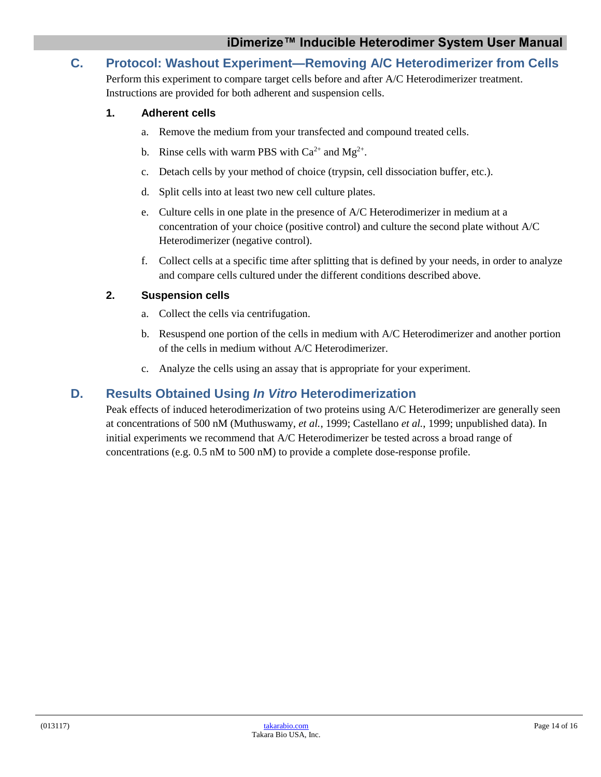## <span id="page-13-0"></span>**C. Protocol: Washout Experiment—Removing A/C Heterodimerizer from Cells**

Perform this experiment to compare target cells before and after A/C Heterodimerizer treatment. Instructions are provided for both adherent and suspension cells.

#### **1. Adherent cells**

- a. Remove the medium from your transfected and compound treated cells.
- b. Rinse cells with warm PBS with  $Ca^{2+}$  and  $Mg^{2+}$ .
- c. Detach cells by your method of choice (trypsin, cell dissociation buffer, etc.).
- d. Split cells into at least two new cell culture plates.
- e. Culture cells in one plate in the presence of A/C Heterodimerizer in medium at a concentration of your choice (positive control) and culture the second plate without A/C Heterodimerizer (negative control).
- f. Collect cells at a specific time after splitting that is defined by your needs, in order to analyze and compare cells cultured under the different conditions described above.

#### **2. Suspension cells**

- a. Collect the cells via centrifugation.
- b. Resuspend one portion of the cells in medium with A/C Heterodimerizer and another portion of the cells in medium without A/C Heterodimerizer.
- c. Analyze the cells using an assay that is appropriate for your experiment.

#### <span id="page-13-1"></span>**D. Results Obtained Using** *In Vitro* **Heterodimerization**

Peak effects of induced heterodimerization of two proteins using A/C Heterodimerizer are generally seen at concentrations of 500 nM (Muthuswamy, *et al.*, 1999; Castellano *et al.*, 1999; unpublished data). In initial experiments we recommend that A/C Heterodimerizer be tested across a broad range of concentrations (e.g. 0.5 nM to 500 nM) to provide a complete dose-response profile.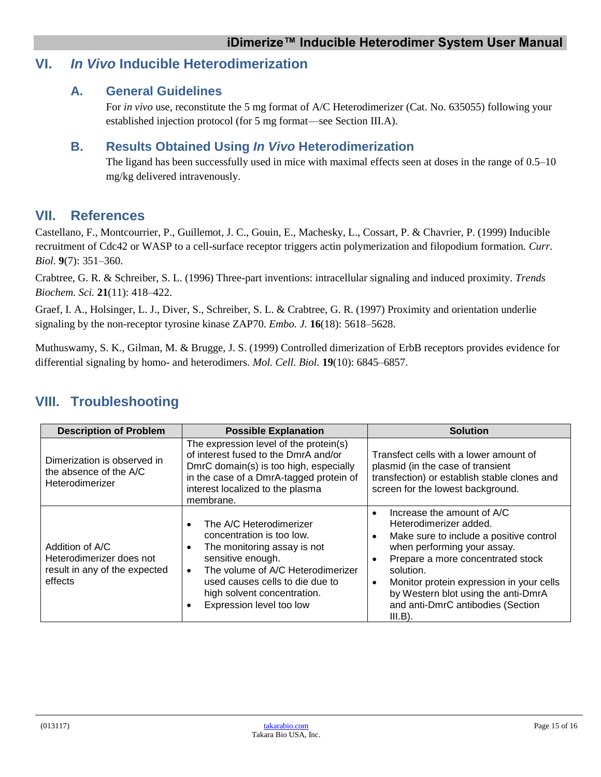## <span id="page-14-1"></span><span id="page-14-0"></span>**VI.** *In Vivo* **Inducible Heterodimerization**

#### **A. General Guidelines**

For *in vivo* use, reconstitute the 5 mg format of A/C Heterodimerizer (Cat. No. 635055) following your established injection protocol (for 5 mg format—see Section III.A).

#### <span id="page-14-2"></span>**B. Results Obtained Using** *In Vivo* **Heterodimerization**

The ligand has been successfully used in mice with maximal effects seen at doses in the range of 0.5–10 mg/kg delivered intravenously.

#### <span id="page-14-3"></span>**VII. References**

Castellano, F., Montcourrier, P., Guillemot, J. C., Gouin, E., Machesky, L., Cossart, P. & Chavrier, P. (1999) Inducible recruitment of Cdc42 or WASP to a cell-surface receptor triggers actin polymerization and filopodium formation. *Curr. Biol.* **9**(7): 351–360.

Crabtree, G. R. & Schreiber, S. L. (1996) Three-part inventions: intracellular signaling and induced proximity. *Trends Biochem. Sci.* **21**(11): 418–422.

Graef, I. A., Holsinger, L. J., Diver, S., Schreiber, S. L. & Crabtree, G. R. (1997) Proximity and orientation underlie signaling by the non-receptor tyrosine kinase ZAP70. *Embo. J.* **16**(18): 5618–5628.

Muthuswamy, S. K., Gilman, M. & Brugge, J. S. (1999) Controlled dimerization of ErbB receptors provides evidence for differential signaling by homo- and heterodimers. *Mol. Cell. Biol.* **19**(10): 6845–6857.

## <span id="page-14-4"></span>**VIII. Troubleshooting**

| <b>Description of Problem</b>                                                           | <b>Possible Explanation</b>                                                                                                                                                                                                                 | <b>Solution</b>                                                                                                                                                                                                                                                                                                                                               |  |
|-----------------------------------------------------------------------------------------|---------------------------------------------------------------------------------------------------------------------------------------------------------------------------------------------------------------------------------------------|---------------------------------------------------------------------------------------------------------------------------------------------------------------------------------------------------------------------------------------------------------------------------------------------------------------------------------------------------------------|--|
| Dimerization is observed in<br>the absence of the A/C<br>Heterodimerizer                | The expression level of the protein(s)<br>of interest fused to the DmrA and/or<br>DmrC domain(s) is too high, especially<br>in the case of a DmrA-tagged protein of<br>interest localized to the plasma<br>membrane.                        | Transfect cells with a lower amount of<br>plasmid (in the case of transient<br>transfection) or establish stable clones and<br>screen for the lowest background.                                                                                                                                                                                              |  |
| Addition of A/C<br>Heterodimerizer does not<br>result in any of the expected<br>effects | The A/C Heterodimerizer<br>concentration is too low.<br>The monitoring assay is not<br>sensitive enough.<br>The volume of A/C Heterodimerizer<br>used causes cells to die due to<br>high solvent concentration.<br>Expression level too low | Increase the amount of A/C<br>$\bullet$<br>Heterodimerizer added.<br>Make sure to include a positive control<br>$\bullet$<br>when performing your assay.<br>Prepare a more concentrated stock<br>solution.<br>Monitor protein expression in your cells<br>$\bullet$<br>by Western blot using the anti-DmrA<br>and anti-DmrC antibodies (Section<br>$III.B$ ). |  |